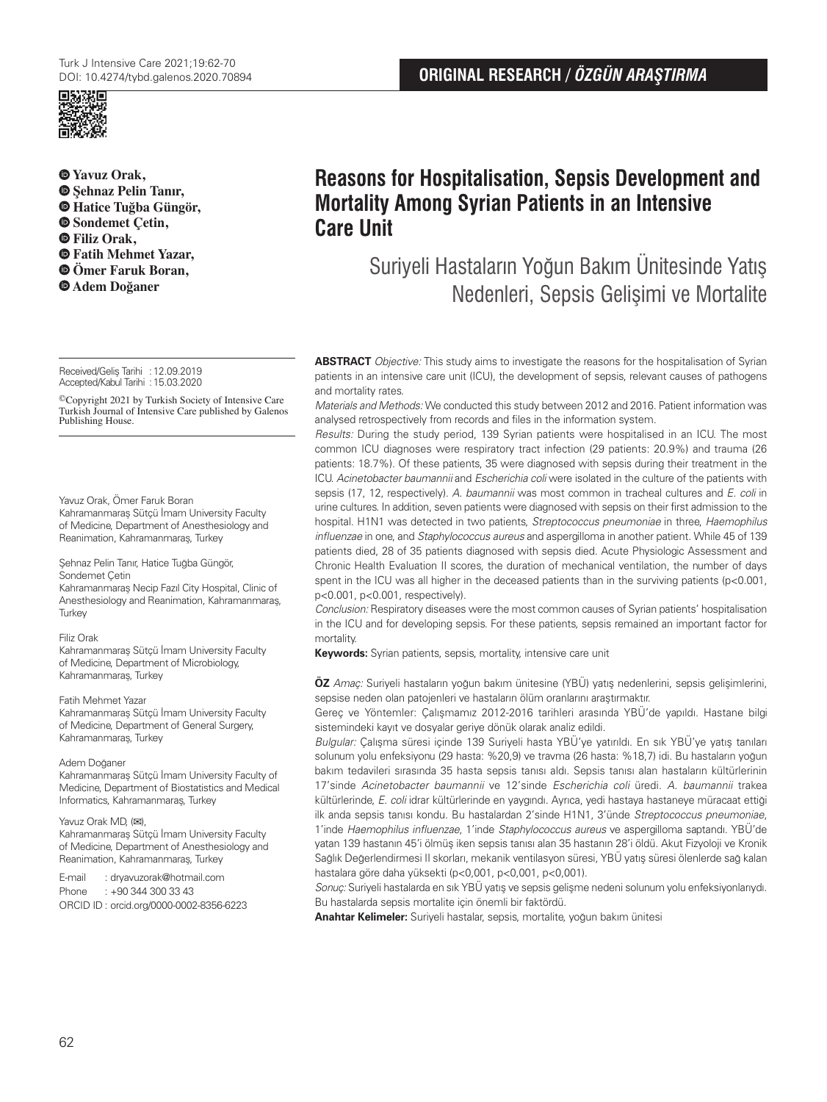

 **Yavuz Orak,**   $\bullet$  **Sehnaz Pelin Tanır. Hatice Tuğba Güngör, Sondemet Çetin, Filiz Orak, Fatih Mehmet Yazar, Ömer Faruk Boran, Adem Doğaner**

Received/Gelis Tarihi : 12.09.2019 Accepted/Kabul Tarihi :15.03.2020

©Copyright 2021 by Turkish Society of Intensive Care Turkish Journal of Intensive Care published by Galenos Publishing House.

Yavuz Orak, Ömer Faruk Boran Kahramanmaraş Sütçü İmam University Faculty of Medicine, Department of Anesthesiology and

Şehnaz Pelin Tanır, Hatice Tuğba Güngör, Sondemet Çetin

Reanimation, Kahramanmaraş, Turkey

Kahramanmaraş Necip Fazıl City Hospital, Clinic of Anesthesiology and Reanimation, Kahramanmaraş, **Turkey** 

#### Filiz Orak

Kahramanmaraş Sütçü İmam University Faculty of Medicine, Department of Microbiology, Kahramanmaraş, Turkey

#### Fatih Mehmet Yazar

Kahramanmaraş Sütçü İmam University Faculty of Medicine, Department of General Surgery, Kahramanmaraş, Turkey

#### Adem Doğaner

Kahramanmaraş Sütçü İmam University Faculty of Medicine, Department of Biostatistics and Medical Informatics, Kahramanmaraş, Turkey

#### Yavuz Orak MD, (**✉**),

Kahramanmaraş Sütçü İmam University Faculty of Medicine, Department of Anesthesiology and Reanimation, Kahramanmaraş, Turkey

E-mail : dryavuzorak@hotmail.com

Phone : +90 344 300 33 43 ORCID ID : orcid.org/0000-0002-8356-6223

# **Reasons for Hospitalisation, Sepsis Development and Mortality Among Syrian Patients in an Intensive Care Unit**

Suriyeli Hastaların Yoğun Bakım Ünitesinde Yatış Nedenleri, Sepsis Gelişimi ve Mortalite

**ABSTRACT** Objective: This study aims to investigate the reasons for the hospitalisation of Syrian patients in an intensive care unit (ICU), the development of sepsis, relevant causes of pathogens and mortality rates.

Materials and Methods: We conducted this study between 2012 and 2016. Patient information was analysed retrospectively from records and files in the information system.

Results: During the study period, 139 Syrian patients were hospitalised in an ICU. The most common ICU diagnoses were respiratory tract infection (29 patients: 20.9%) and trauma (26 patients: 18.7%). Of these patients, 35 were diagnosed with sepsis during their treatment in the ICU. Acinetobacter baumannii and Escherichia coli were isolated in the culture of the patients with sepsis (17, 12, respectively). A. baumannii was most common in tracheal cultures and E. coli in urine cultures. In addition, seven patients were diagnosed with sepsis on their first admission to the hospital. H1N1 was detected in two patients, Streptococcus pneumoniae in three, Haemophilus influenzae in one, and Staphylococcus aureus and aspergilloma in another patient. While 45 of 139 patients died, 28 of 35 patients diagnosed with sepsis died. Acute Physiologic Assessment and Chronic Health Evaluation II scores, the duration of mechanical ventilation, the number of days spent in the ICU was all higher in the deceased patients than in the surviving patients (p<0.001, p<0.001, p<0.001, respectively).

Conclusion: Respiratory diseases were the most common causes of Syrian patients' hospitalisation in the ICU and for developing sepsis. For these patients, sepsis remained an important factor for mortality.

**Keywords:** Syrian patients, sepsis, mortality, intensive care unit

**ÖZ** Amaç: Suriyeli hastaların yoğun bakım ünitesine (YBÜ) yatış nedenlerini, sepsis gelişimlerini, sepsise neden olan patojenleri ve hastaların ölüm oranlarını araştırmaktır.

Gereç ve Yöntemler: Çalışmamız 2012-2016 tarihleri arasında YBÜ'de yapıldı. Hastane bilgi sistemindeki kayıt ve dosyalar geriye dönük olarak analiz edildi.

Bulgular: Çalışma süresi içinde 139 Suriyeli hasta YBÜ'ye yatırıldı. En sık YBÜ'ye yatış tanıları solunum yolu enfeksiyonu (29 hasta: %20,9) ve travma (26 hasta: %18,7) idi. Bu hastaların yoğun bakım tedavileri sırasında 35 hasta sepsis tanısı aldı. Sepsis tanısı alan hastaların kültürlerinin 17'sinde Acinetobacter baumannii ve 12'sinde Escherichia coli üredi. A. baumannii trakea kültürlerinde, E. coli idrar kültürlerinde en yaygındı. Ayrıca, yedi hastaya hastaneye müracaat ettiği ilk anda sepsis tanısı kondu. Bu hastalardan 2'sinde H1N1, 3'ünde Streptococcus pneumoniae, 1'inde Haemophilus influenzae, 1'inde Staphylococcus aureus ve aspergilloma saptandı. YBÜ'de yatan 139 hastanın 45'i ölmüş iken sepsis tanısı alan 35 hastanın 28'i öldü. Akut Fizyoloji ve Kronik Sağlık Değerlendirmesi II skorları, mekanik ventilasyon süresi, YBÜ yatış süresi ölenlerde sağ kalan hastalara göre daha yüksekti (p<0,001, p<0,001, p<0,001).

Sonuç: Suriyeli hastalarda en sık YBÜ yatış ve sepsis gelişme nedeni solunum yolu enfeksiyonlarıydı. Bu hastalarda sepsis mortalite için önemli bir faktördü.

**Anahtar Kelimeler:** Suriyeli hastalar, sepsis, mortalite, yoğun bakım ünitesi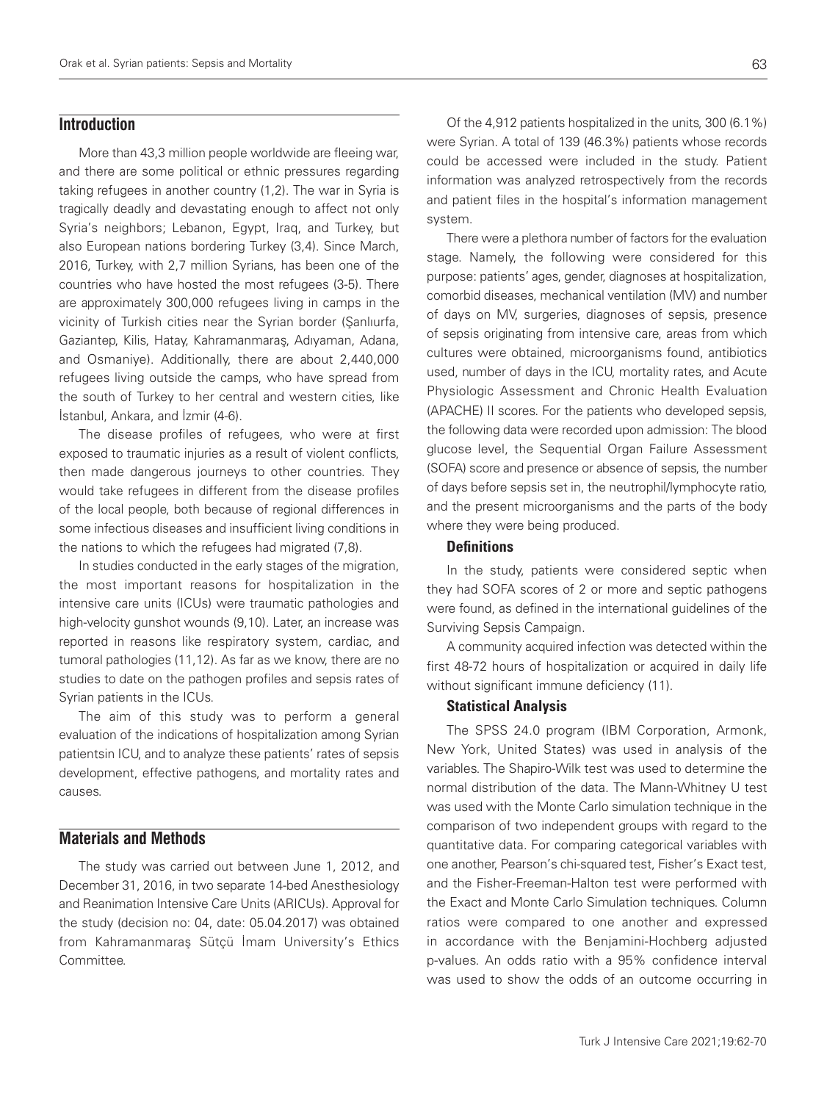# **Introduction**

More than 43,3 million people worldwide are fleeing war, and there are some political or ethnic pressures regarding taking refugees in another country (1,2). The war in Syria is tragically deadly and devastating enough to affect not only Syria's neighbors; Lebanon, Egypt, Iraq, and Turkey, but also European nations bordering Turkey (3,4). Since March, 2016, Turkey, with 2,7 million Syrians, has been one of the countries who have hosted the most refugees (3-5). There are approximately 300,000 refugees living in camps in the vicinity of Turkish cities near the Syrian border (Şanlıurfa, Gaziantep, Kilis, Hatay, Kahramanmaraş, Adıyaman, Adana, and Osmaniye). Additionally, there are about 2,440,000 refugees living outside the camps, who have spread from the south of Turkey to her central and western cities, like İstanbul, Ankara, and İzmir (4-6).

The disease profiles of refugees, who were at first exposed to traumatic injuries as a result of violent conflicts, then made dangerous journeys to other countries. They would take refugees in different from the disease profiles of the local people, both because of regional differences in some infectious diseases and insufficient living conditions in the nations to which the refugees had migrated (7,8).

In studies conducted in the early stages of the migration, the most important reasons for hospitalization in the intensive care units (ICUs) were traumatic pathologies and high-velocity gunshot wounds (9,10). Later, an increase was reported in reasons like respiratory system, cardiac, and tumoral pathologies (11,12). As far as we know, there are no studies to date on the pathogen profiles and sepsis rates of Syrian patients in the ICUs.

The aim of this study was to perform a general evaluation of the indications of hospitalization among Syrian patientsin ICU, and to analyze these patients' rates of sepsis development, effective pathogens, and mortality rates and causes.

# **Materials and Methods**

The study was carried out between June 1, 2012, and December 31, 2016, in two separate 14-bed Anesthesiology and Reanimation Intensive Care Units (ARICUs). Approval for the study (decision no: 04, date: 05.04.2017) was obtained from Kahramanmaraş Sütçü İmam University's Ethics Committee.

system. There were a plethora number of factors for the evaluation stage. Namely, the following were considered for this purpose: patients' ages, gender, diagnoses at hospitalization, comorbid diseases, mechanical ventilation (MV) and number of days on MV, surgeries, diagnoses of sepsis, presence of sepsis originating from intensive care, areas from which cultures were obtained, microorganisms found, antibiotics used, number of days in the ICU, mortality rates, and Acute Physiologic Assessment and Chronic Health Evaluation (APACHE) II scores. For the patients who developed sepsis, the following data were recorded upon admission: The blood glucose level, the Sequential Organ Failure Assessment (SOFA) score and presence or absence of sepsis, the number of days before sepsis set in, the neutrophil/lymphocyte ratio, and the present microorganisms and the parts of the body where they were being produced.

and patient files in the hospital's information management

#### **Definitions**

In the study, patients were considered septic when they had SOFA scores of 2 or more and septic pathogens were found, as defined in the international guidelines of the Surviving Sepsis Campaign.

A community acquired infection was detected within the first 48-72 hours of hospitalization or acquired in daily life without significant immune deficiency (11).

#### Statistical Analysis

The SPSS 24.0 program (IBM Corporation, Armonk, New York, United States) was used in analysis of the variables. The Shapiro-Wilk test was used to determine the normal distribution of the data. The Mann-Whitney U test was used with the Monte Carlo simulation technique in the comparison of two independent groups with regard to the quantitative data. For comparing categorical variables with one another, Pearson's chi-squared test, Fisher's Exact test, and the Fisher-Freeman-Halton test were performed with the Exact and Monte Carlo Simulation techniques. Column ratios were compared to one another and expressed in accordance with the Benjamini-Hochberg adjusted p-values. An odds ratio with a 95% confidence interval was used to show the odds of an outcome occurring in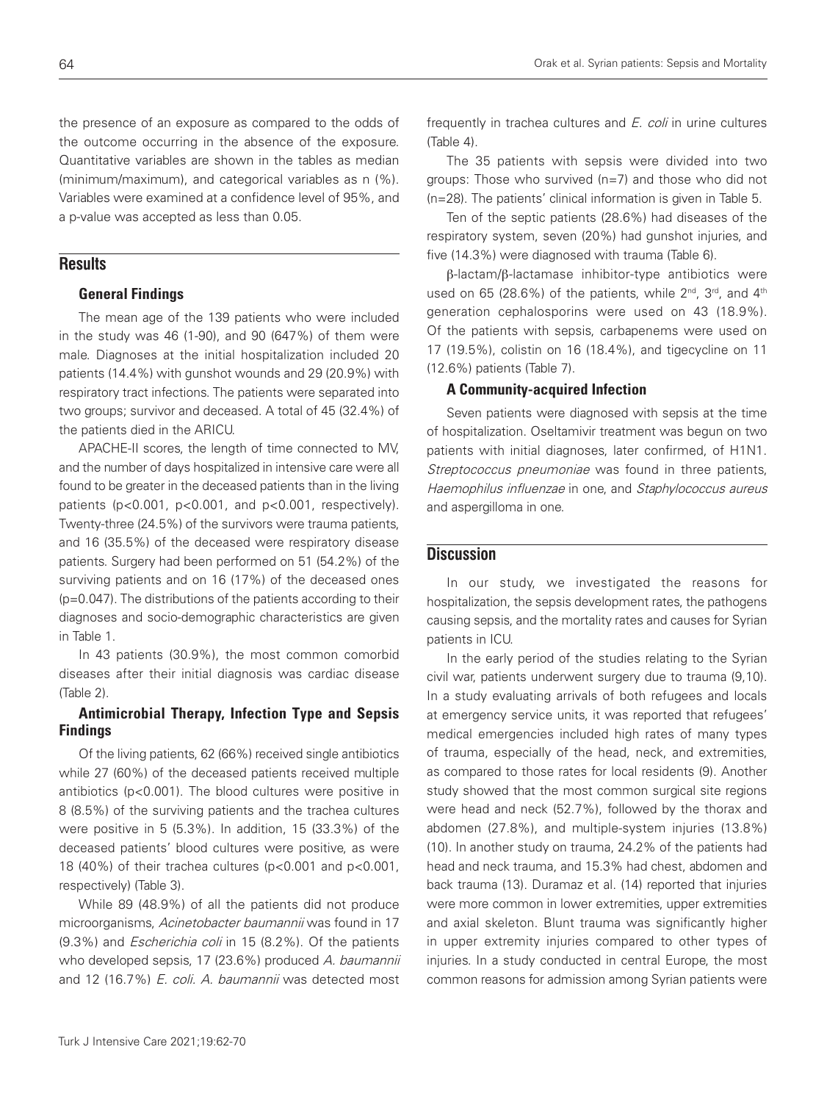the presence of an exposure as compared to the odds of the outcome occurring in the absence of the exposure. Quantitative variables are shown in the tables as median (minimum/maximum), and categorical variables as n (%). Variables were examined at a confidence level of 95%, and a p-value was accepted as less than 0.05.

# **Results**

#### General Findings

The mean age of the 139 patients who were included in the study was 46 (1-90), and 90 (647%) of them were male. Diagnoses at the initial hospitalization included 20 patients (14.4%) with gunshot wounds and 29 (20.9%) with respiratory tract infections. The patients were separated into two groups; survivor and deceased. A total of 45 (32.4%) of the patients died in the ARICU.

APACHE-II scores, the length of time connected to MV, and the number of days hospitalized in intensive care were all found to be greater in the deceased patients than in the living patients (p<0.001, p<0.001, and p<0.001, respectively). Twenty-three (24.5%) of the survivors were trauma patients, and 16 (35.5%) of the deceased were respiratory disease patients. Surgery had been performed on 51 (54.2%) of the surviving patients and on 16 (17%) of the deceased ones (p=0.047). The distributions of the patients according to their diagnoses and socio-demographic characteristics are given in Table 1.

In 43 patients (30.9%), the most common comorbid diseases after their initial diagnosis was cardiac disease (Table 2).

#### Antimicrobial Therapy, Infection Type and Sepsis Findings

Of the living patients, 62 (66%) received single antibiotics while 27 (60%) of the deceased patients received multiple antibiotics (p<0.001). The blood cultures were positive in 8 (8.5%) of the surviving patients and the trachea cultures were positive in 5 (5.3%). In addition, 15 (33.3%) of the deceased patients' blood cultures were positive, as were 18 (40%) of their trachea cultures (p<0.001 and p<0.001, respectively) (Table 3).

While 89 (48.9%) of all the patients did not produce microorganisms, Acinetobacter baumannii was found in 17 (9.3%) and Escherichia coli in 15 (8.2%). Of the patients who developed sepsis, 17 (23.6%) produced A. baumannii and 12 (16.7%) E. coli. A. baumannii was detected most

Orak et al. Syrian patients: Sepsis and Mortality

frequently in trachea cultures and E. coli in urine cultures (Table 4).

The 35 patients with sepsis were divided into two groups: Those who survived (n=7) and those who did not (n=28). The patients' clinical information is given in Table 5.

Ten of the septic patients (28.6%) had diseases of the respiratory system, seven (20%) had gunshot injuries, and five (14.3%) were diagnosed with trauma (Table 6).

 $\beta$ -lactam/ $\beta$ -lactamase inhibitor-type antibiotics were used on 65 (28.6%) of the patients, while  $2^{nd}$ ,  $3^{rd}$ , and  $4^{th}$ generation cephalosporins were used on 43 (18.9%). Of the patients with sepsis, carbapenems were used on 17 (19.5%), colistin on 16 (18.4%), and tigecycline on 11 (12.6%) patients (Table 7).

#### A Community-acquired Infection

Seven patients were diagnosed with sepsis at the time of hospitalization. Oseltamivir treatment was begun on two patients with initial diagnoses, later confirmed, of H1N1. Streptococcus pneumoniae was found in three patients, Haemophilus influenzae in one, and Staphylococcus aureus and aspergilloma in one.

#### **Discussion**

In our study, we investigated the reasons for hospitalization, the sepsis development rates, the pathogens causing sepsis, and the mortality rates and causes for Syrian patients in ICU.

In the early period of the studies relating to the Syrian civil war, patients underwent surgery due to trauma (9,10). In a study evaluating arrivals of both refugees and locals at emergency service units, it was reported that refugees' medical emergencies included high rates of many types of trauma, especially of the head, neck, and extremities, as compared to those rates for local residents (9). Another study showed that the most common surgical site regions were head and neck (52.7%), followed by the thorax and abdomen (27.8%), and multiple-system injuries (13.8%) (10). In another study on trauma, 24.2% of the patients had head and neck trauma, and 15.3% had chest, abdomen and back trauma (13). Duramaz et al. (14) reported that injuries were more common in lower extremities, upper extremities and axial skeleton. Blunt trauma was significantly higher in upper extremity injuries compared to other types of injuries. In a study conducted in central Europe, the most common reasons for admission among Syrian patients were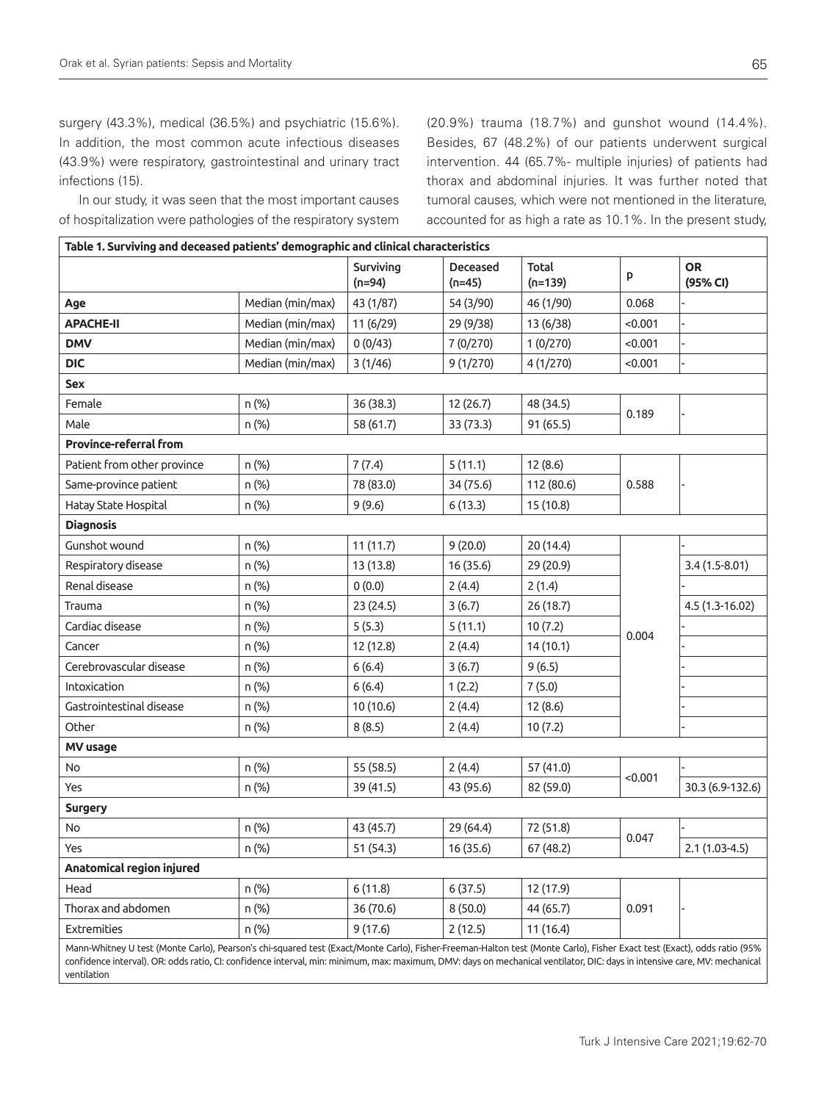surgery (43.3%), medical (36.5%) and psychiatric (15.6%). In addition, the most common acute infectious diseases (43.9%) were respiratory, gastrointestinal and urinary tract infections (15).

In our study, it was seen that the most important causes of hospitalization were pathologies of the respiratory system

(20.9%) trauma (18.7%) and gunshot wound (14.4%). Besides, 67 (48.2%) of our patients underwent surgical intervention. 44 (65.7%- multiple injuries) of patients had thorax and abdominal injuries. It was further noted that tumoral causes, which were not mentioned in the literature, accounted for as high a rate as 10.1%. In the present study,

| Table 1. Surviving and deceased patients' demographic and clinical characteristics                                                                                      |                  |                       |                      |                    |         |                       |
|-------------------------------------------------------------------------------------------------------------------------------------------------------------------------|------------------|-----------------------|----------------------|--------------------|---------|-----------------------|
|                                                                                                                                                                         |                  | Surviving<br>$(n=94)$ | Deceased<br>$(n=45)$ | Total<br>$(n=139)$ | p       | <b>OR</b><br>(95% CI) |
| Age                                                                                                                                                                     | Median (min/max) | 43 (1/87)             | 54 (3/90)            | 46 (1/90)          | 0.068   |                       |
| <b>APACHE-II</b>                                                                                                                                                        | Median (min/max) | 11 (6/29)             | 29 (9/38)            | 13 (6/38)          | < 0.001 |                       |
| <b>DMV</b>                                                                                                                                                              | Median (min/max) | 0(0/43)               | 7 (0/270)            | 1(0/270)           | < 0.001 |                       |
| <b>DIC</b>                                                                                                                                                              | Median (min/max) | 3(1/46)               | 9(1/270)             | 4(1/270)           | < 0.001 |                       |
| <b>Sex</b>                                                                                                                                                              |                  |                       |                      |                    |         |                       |
| Female                                                                                                                                                                  | n (%)            | 36 (38.3)             | 12 (26.7)            | 48 (34.5)          |         |                       |
| Male                                                                                                                                                                    | n (%)            | 58 (61.7)             | 33 (73.3)            | 91 (65.5)          | 0.189   |                       |
| <b>Province-referral from</b>                                                                                                                                           |                  |                       |                      |                    |         |                       |
| Patient from other province                                                                                                                                             | n (%)            | 7(7.4)                | 5(11.1)              | 12(8.6)            |         |                       |
| Same-province patient                                                                                                                                                   | n (%)            | 78 (83.0)             | 34 (75.6)            | 112 (80.6)         | 0.588   |                       |
| Hatay State Hospital                                                                                                                                                    | n (%)            | 9(9.6)                | 6(13.3)              | 15 (10.8)          |         |                       |
| <b>Diagnosis</b>                                                                                                                                                        |                  |                       |                      |                    |         |                       |
| Gunshot wound                                                                                                                                                           | n (%)            | 11(11.7)              | 9(20.0)              | 20 (14.4)          |         |                       |
| Respiratory disease                                                                                                                                                     | n (%)            | 13 (13.8)             | 16 (35.6)            | 29 (20.9)          |         | $3.4(1.5-8.01)$       |
| Renal disease                                                                                                                                                           | n (%)            | 0(0.0)                | 2(4.4)               | 2(1.4)             |         |                       |
| Trauma                                                                                                                                                                  | n (%)            | 23 (24.5)             | 3(6.7)               | 26 (18.7)          |         | 4.5 (1.3-16.02)       |
| Cardiac disease                                                                                                                                                         | n (%)            | 5(5.3)                | 5(11.1)              | 10(7.2)            | 0.004   |                       |
| Cancer                                                                                                                                                                  | n (%)            | 12 (12.8)             | 2(4.4)               | 14 (10.1)          |         |                       |
| Cerebrovascular disease                                                                                                                                                 | n (%)            | 6(6.4)                | 3(6.7)               | 9(6.5)             |         |                       |
| Intoxication                                                                                                                                                            | n (%)            | 6(6.4)                | 1(2.2)               | 7(5.0)             |         |                       |
| Gastrointestinal disease                                                                                                                                                | n (%)            | 10 (10.6)             | 2(4.4)               | 12(8.6)            |         |                       |
| Other                                                                                                                                                                   | n (%)            | 8(8.5)                | 2(4.4)               | 10(7.2)            |         |                       |
| MV usage                                                                                                                                                                |                  |                       |                      |                    |         |                       |
| No                                                                                                                                                                      | n (%)            | 55 (58.5)             | 2(4.4)               | 57 (41.0)          | < 0.001 |                       |
| Yes                                                                                                                                                                     | n (%)            | 39 (41.5)             | 43 (95.6)            | 82 (59.0)          |         | 30.3 (6.9-132.6)      |
| <b>Surgery</b>                                                                                                                                                          |                  |                       |                      |                    |         |                       |
| No                                                                                                                                                                      | n (%)            | 43 (45.7)             | 29 (64.4)            | 72 (51.8)          | 0.047   |                       |
| Yes                                                                                                                                                                     | n (%)            | 51 (54.3)             | 16 (35.6)            | 67 (48.2)          |         | $2.1(1.03-4.5)$       |
| Anatomical region injured                                                                                                                                               |                  |                       |                      |                    |         |                       |
| Head                                                                                                                                                                    | n (%)            | 6(11.8)               | 6(37.5)              | 12 (17.9)          |         |                       |
| Thorax and abdomen                                                                                                                                                      | n (%)            | 36 (70.6)             | 8(50.0)              | 44 (65.7)          | 0.091   |                       |
| <b>Extremities</b>                                                                                                                                                      | n (%)            | 9(17.6)               | 2(12.5)              | 11(16.4)           |         |                       |
| Mann-Whitney U test (Monte Carlo), Pearson's chi-squared test (Exact/Monte Carlo), Fisher-Freeman-Halton test (Monte Carlo), Fisher Exact test (Exact), odds ratio (95% |                  |                       |                      |                    |         |                       |

confidence interval). OR: odds ratio, CI: confidence interval, min: minimum, max: maximum, DMV: days on mechanical ventilator, DIC: days in intensive care, MV: mechanical ventilation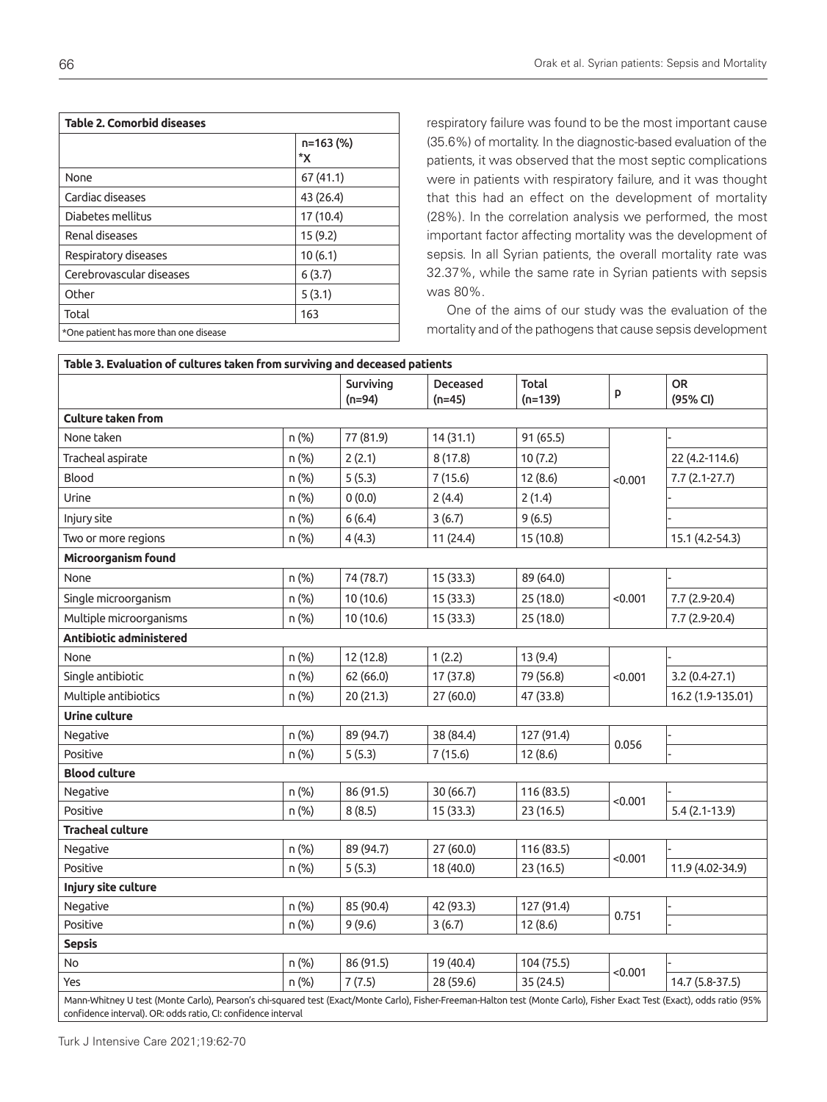| <b>Table 2. Comorbid diseases</b>      |                 |  |  |  |
|----------------------------------------|-----------------|--|--|--|
|                                        | n=163 (%)<br>*X |  |  |  |
| None                                   | 67 (41.1)       |  |  |  |
| Cardiac diseases                       | 43 (26.4)       |  |  |  |
| Diabetes mellitus                      | 17 (10.4)       |  |  |  |
| Renal diseases                         | 15(9.2)         |  |  |  |
| Respiratory diseases                   | 10(6.1)         |  |  |  |
| Cerebrovascular diseases               | 6(3.7)          |  |  |  |
| Other                                  | 5(3.1)          |  |  |  |
| Total                                  | 163             |  |  |  |
| *One patient has more than one disease |                 |  |  |  |

respiratory failure was found to be the most important cause (35.6%) of mortality. In the diagnostic-based evaluation of the patients, it was observed that the most septic complications were in patients with respiratory failure, and it was thought that this had an effect on the development of mortality (28%). In the correlation analysis we performed, the most important factor affecting mortality was the development of sepsis. In all Syrian patients, the overall mortality rate was 32.37%, while the same rate in Syrian patients with sepsis was 80%.

One of the aims of our study was the evaluation of the mortality and of the pathogens that cause sepsis development

| Table 3. Evaluation of cultures taken from surviving and deceased patients                                                                                              |       |                       |                      |                    |         |                       |
|-------------------------------------------------------------------------------------------------------------------------------------------------------------------------|-------|-----------------------|----------------------|--------------------|---------|-----------------------|
|                                                                                                                                                                         |       | Surviving<br>$(n=94)$ | Deceased<br>$(n=45)$ | Total<br>$(n=139)$ | p       | <b>OR</b><br>(95% CI) |
| <b>Culture taken from</b>                                                                                                                                               |       |                       |                      |                    |         |                       |
| None taken                                                                                                                                                              | n (%) | 77 (81.9)             | 14(31.1)             | 91 (65.5)          |         |                       |
| Tracheal aspirate                                                                                                                                                       | n (%) | 2(2.1)                | 8(17.8)              | 10(7.2)            |         | 22 (4.2-114.6)        |
| Blood                                                                                                                                                                   | n (%) | 5(5.3)                | 7(15.6)              | 12(8.6)            | < 0.001 | $7.7(2.1-27.7)$       |
| Urine                                                                                                                                                                   | n (%) | 0(0.0)                | 2(4.4)               | 2(1.4)             |         |                       |
| Injury site                                                                                                                                                             | n (%) | 6(6.4)                | 3(6.7)               | 9(6.5)             |         |                       |
| Two or more regions                                                                                                                                                     | n (%) | 4(4.3)                | 11 (24.4)            | 15 (10.8)          |         | 15.1 (4.2-54.3)       |
| Microorganism found                                                                                                                                                     |       |                       |                      |                    |         |                       |
| None                                                                                                                                                                    | n (%) | 74 (78.7)             | 15(33.3)             | 89 (64.0)          |         |                       |
| Single microorganism                                                                                                                                                    | n (%) | 10 (10.6)             | 15(33.3)             | 25 (18.0)          | < 0.001 | 7.7 (2.9-20.4)        |
| Multiple microorganisms                                                                                                                                                 | n (%) | 10 (10.6)             | 15 (33.3)            | 25 (18.0)          |         | 7.7 (2.9-20.4)        |
| Antibiotic administered                                                                                                                                                 |       |                       |                      |                    |         |                       |
| None                                                                                                                                                                    | n (%) | 12 (12.8)             | 1(2.2)               | 13(9.4)            |         |                       |
| Single antibiotic                                                                                                                                                       | n (%) | 62 (66.0)             | 17 (37.8)            | 79 (56.8)          | < 0.001 | $3.2(0.4-27.1)$       |
| Multiple antibiotics                                                                                                                                                    | n (%) | 20 (21.3)             | 27 (60.0)            | 47 (33.8)          |         | 16.2 (1.9-135.01)     |
| <b>Urine culture</b>                                                                                                                                                    |       |                       |                      |                    |         |                       |
| Negative                                                                                                                                                                | n (%) | 89 (94.7)             | 38 (84.4)            | 127 (91.4)         | 0.056   |                       |
| Positive                                                                                                                                                                | n (%) | 5(5.3)                | 7(15.6)              | 12(8.6)            |         |                       |
| <b>Blood culture</b>                                                                                                                                                    |       |                       |                      |                    |         |                       |
| Negative                                                                                                                                                                | n (%) | 86 (91.5)             | 30 (66.7)            | 116 (83.5)         | < 0.001 |                       |
| Positive                                                                                                                                                                | n (%) | 8(8.5)                | 15 (33.3)            | 23(16.5)           |         | $5.4(2.1-13.9)$       |
| <b>Tracheal culture</b>                                                                                                                                                 |       |                       |                      |                    |         |                       |
| Negative                                                                                                                                                                | n (%) | 89 (94.7)             | 27 (60.0)            | 116 (83.5)         | < 0.001 |                       |
| Positive                                                                                                                                                                | n (%) | 5(5.3)                | 18 (40.0)            | 23 (16.5)          |         | 11.9 (4.02-34.9)      |
| Injury site culture                                                                                                                                                     |       |                       |                      |                    |         |                       |
| Negative                                                                                                                                                                | n (%) | 85 (90.4)             | 42 (93.3)            | 127 (91.4)         | 0.751   |                       |
| Positive                                                                                                                                                                | n (%) | 9(9.6)                | 3(6.7)               | 12(8.6)            |         |                       |
| <b>Sepsis</b>                                                                                                                                                           |       |                       |                      |                    |         |                       |
| No                                                                                                                                                                      | n (%) | 86 (91.5)             | 19 (40.4)            | 104 (75.5)         | < 0.001 |                       |
| Yes                                                                                                                                                                     | n (%) | 7(7.5)                | 28 (59.6)            | 35 (24.5)          |         | 14.7 (5.8-37.5)       |
| Mann-Whitney U test (Monte Carlo), Pearson's chi-squared test (Exact/Monte Carlo), Fisher-Freeman-Halton test (Monte Carlo), Fisher Exact Test (Exact), odds ratio (95% |       |                       |                      |                    |         |                       |

confidence interval). OR: odds ratio, CI: confidence interval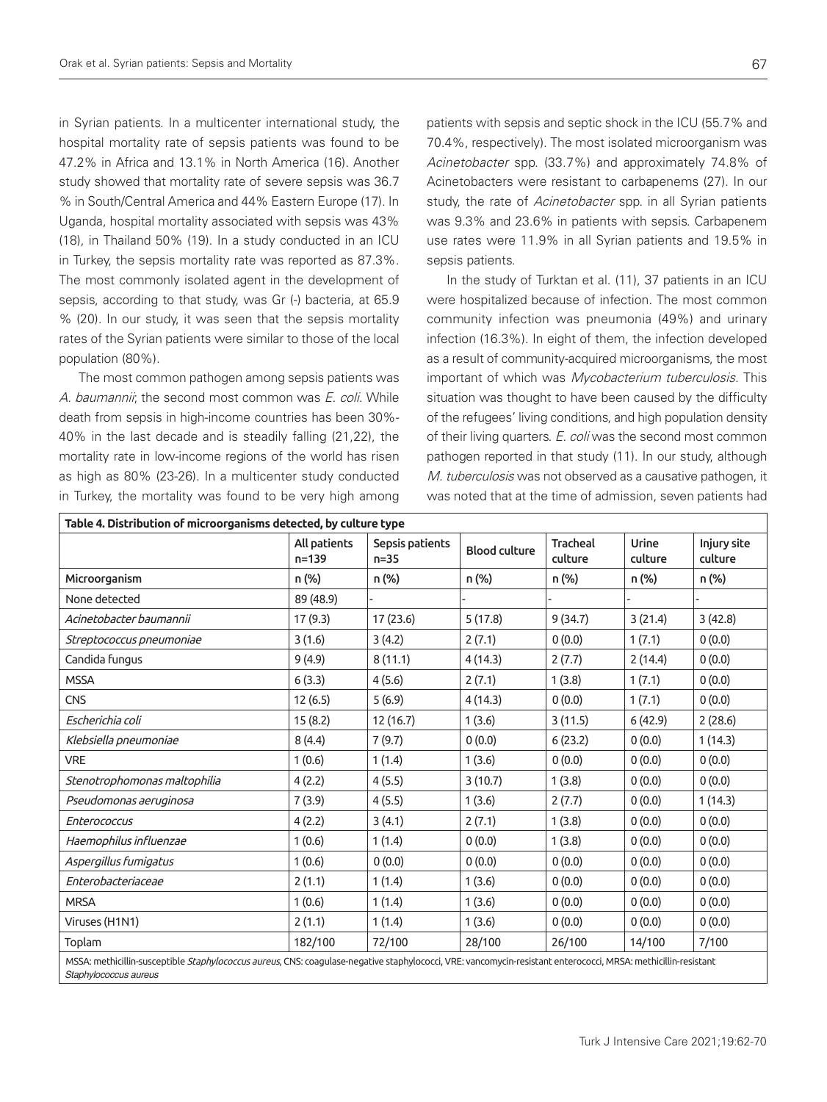in Syrian patients. In a multicenter international study, the hospital mortality rate of sepsis patients was found to be 47.2% in Africa and 13.1% in North America (16). Another study showed that mortality rate of severe sepsis was 36.7 % in South/Central America and 44% Eastern Europe (17). In Uganda, hospital mortality associated with sepsis was 43% (18), in Thailand 50% (19). In a study conducted in an ICU in Turkey, the sepsis mortality rate was reported as 87.3%. The most commonly isolated agent in the development of sepsis, according to that study, was Gr (-) bacteria, at 65.9 % (20). In our study, it was seen that the sepsis mortality rates of the Syrian patients were similar to those of the local population (80%).

The most common pathogen among sepsis patients was A. baumannii; the second most common was E. coli. While death from sepsis in high-income countries has been 30%- 40% in the last decade and is steadily falling (21,22), the mortality rate in low-income regions of the world has risen as high as 80% (23-26). In a multicenter study conducted in Turkey, the mortality was found to be very high among

patients with sepsis and septic shock in the ICU (55.7% and 70.4%, respectively). The most isolated microorganism was Acinetobacter spp. (33.7%) and approximately 74.8% of Acinetobacters were resistant to carbapenems (27). In our study, the rate of Acinetobacter spp. in all Syrian patients was 9.3% and 23.6% in patients with sepsis. Carbapenem use rates were 11.9% in all Syrian patients and 19.5% in sepsis patients.

In the study of Turktan et al. (11), 37 patients in an ICU were hospitalized because of infection. The most common community infection was pneumonia (49%) and urinary infection (16.3%). In eight of them, the infection developed as a result of community-acquired microorganisms, the most important of which was Mycobacterium tuberculosis. This situation was thought to have been caused by the difficulty of the refugees' living conditions, and high population density of their living quarters. E. coli was the second most common pathogen reported in that study (11). In our study, although M. tuberculosis was not observed as a causative pathogen, it was noted that at the time of admission, seven patients had

|                                                                                                                                                                                         | All patients<br>$n = 139$ | Sepsis patients<br>$n = 35$ | <b>Blood culture</b> | <b>Tracheal</b><br>culture | Urine<br>culture | Injury site<br>culture |
|-----------------------------------------------------------------------------------------------------------------------------------------------------------------------------------------|---------------------------|-----------------------------|----------------------|----------------------------|------------------|------------------------|
| Microorganism                                                                                                                                                                           | n (%)                     | n (%)                       | n (%)                | n (%)                      | n (%)            | n (%)                  |
| None detected                                                                                                                                                                           | 89 (48.9)                 |                             |                      |                            |                  |                        |
| Acinetobacter baumannii                                                                                                                                                                 | 17 (9.3)                  | 17(23.6)                    | 5(17.8)              | 9(34.7)                    | 3(21.4)          | 3(42.8)                |
| Streptococcus pneumoniae                                                                                                                                                                | 3(1.6)                    | 3(4.2)                      | 2(7.1)               | 0(0.0)                     | 1(7.1)           | 0(0.0)                 |
| Candida fungus                                                                                                                                                                          | 9(4.9)                    | 8(11.1)                     | 4(14.3)              | 2(7.7)                     | 2(14.4)          | 0(0.0)                 |
| <b>MSSA</b>                                                                                                                                                                             | 6(3.3)                    | 4(5.6)                      | 2(7.1)               | 1(3.8)                     | 1(7.1)           | 0(0.0)                 |
| <b>CNS</b>                                                                                                                                                                              | 12(6.5)                   | 5(6.9)                      | 4(14.3)              | 0(0.0)                     | 1(7.1)           | 0(0.0)                 |
| Escherichia coli                                                                                                                                                                        | 15(8.2)                   | 12 (16.7)                   | 1(3.6)               | 3(11.5)                    | 6(42.9)          | 2(28.6)                |
| Klebsiella pneumoniae                                                                                                                                                                   | 8(4.4)                    | 7(9.7)                      | 0(0.0)               | 6(23.2)                    | 0(0.0)           | 1(14.3)                |
| <b>VRE</b>                                                                                                                                                                              | 1(0.6)                    | 1(1.4)                      | 1(3.6)               | 0(0.0)                     | 0(0.0)           | 0(0.0)                 |
| Stenotrophomonas maltophilia                                                                                                                                                            | 4(2.2)                    | 4(5.5)                      | 3(10.7)              | 1(3.8)                     | 0(0.0)           | 0(0.0)                 |
| Pseudomonas aeruginosa                                                                                                                                                                  | 7(3.9)                    | 4(5.5)                      | 1(3.6)               | 2(7.7)                     | 0(0.0)           | 1(14.3)                |
| <b>Enterococcus</b>                                                                                                                                                                     | 4(2.2)                    | 3(4.1)                      | 2(7.1)               | 1(3.8)                     | 0(0.0)           | 0(0.0)                 |
| Haemophilus influenzae                                                                                                                                                                  | 1(0.6)                    | 1(1.4)                      | 0(0.0)               | 1(3.8)                     | 0(0.0)           | 0(0.0)                 |
| Aspergillus fumigatus                                                                                                                                                                   | 1(0.6)                    | 0(0.0)                      | 0(0.0)               | 0(0.0)                     | 0(0.0)           | 0(0.0)                 |
| Enterobacteriaceae                                                                                                                                                                      | 2(1.1)                    | 1(1.4)                      | 1(3.6)               | 0(0.0)                     | 0(0.0)           | 0(0.0)                 |
| <b>MRSA</b>                                                                                                                                                                             | 1(0.6)                    | 1(1.4)                      | 1(3.6)               | 0(0.0)                     | 0(0.0)           | 0(0.0)                 |
| Viruses (H1N1)                                                                                                                                                                          | 2(1.1)                    | 1(1.4)                      | 1(3.6)               | 0(0.0)                     | 0(0.0)           | 0(0.0)                 |
| Toplam                                                                                                                                                                                  | 182/100                   | 72/100                      | 28/100               | 26/100                     | 14/100           | 7/100                  |
| MSSA: methicillin-susceptible Staphylococcus aureus, CNS: coagulase-negative staphylococci, VRE: vancomycin-resistant enterococci, MRSA: methicillin-resistant<br>Staphylococcus aureus |                           |                             |                      |                            |                  |                        |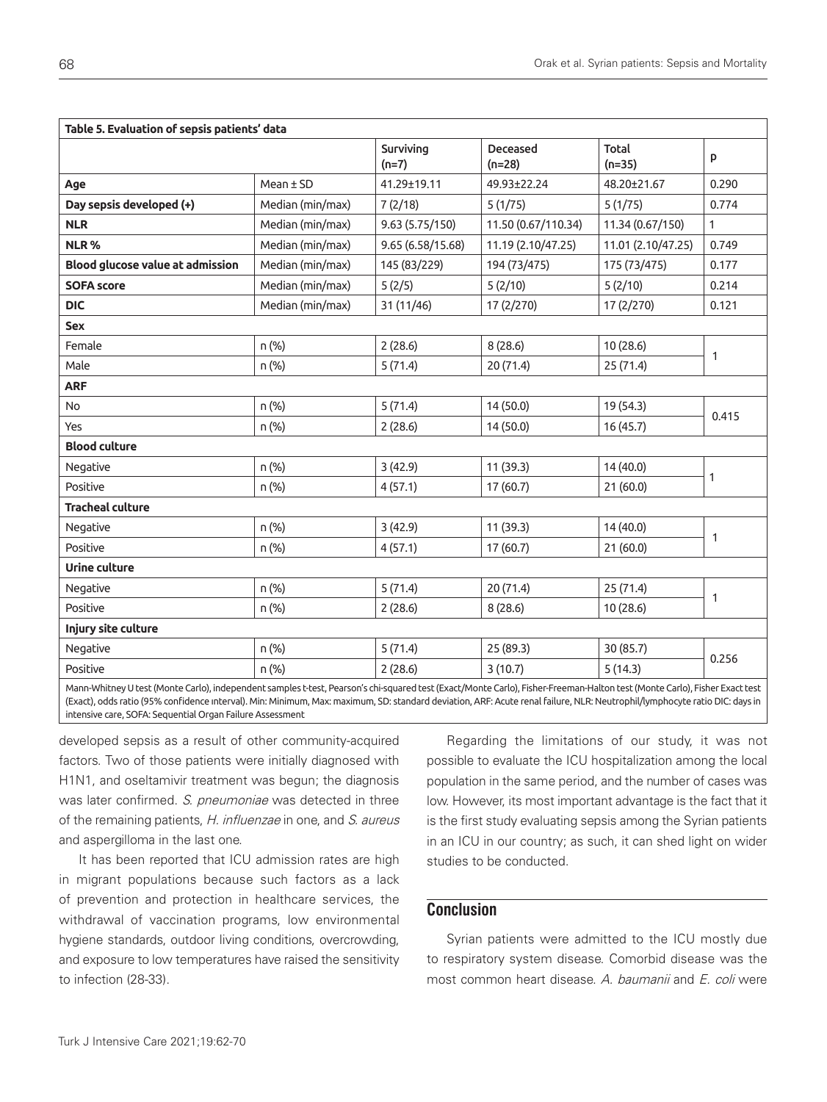| Table 5. Evaluation of sepsis patients' data                                                                                                                                |                  |                      |                      |                    |              |
|-----------------------------------------------------------------------------------------------------------------------------------------------------------------------------|------------------|----------------------|----------------------|--------------------|--------------|
|                                                                                                                                                                             |                  | Surviving<br>$(n=7)$ | Deceased<br>$(n=28)$ | Total<br>$(n=35)$  | P            |
| Age                                                                                                                                                                         | $Mean \pm SD$    | 41.29±19.11          | 49.93±22.24          | 48.20±21.67        | 0.290        |
| Day sepsis developed (+)                                                                                                                                                    | Median (min/max) | 7(2/18)              | 5(1/75)              | 5(1/75)            | 0.774        |
| <b>NLR</b>                                                                                                                                                                  | Median (min/max) | 9.63 (5.75/150)      | 11.50 (0.67/110.34)  | 11.34 (0.67/150)   | $\mathbf{1}$ |
| NLR%                                                                                                                                                                        | Median (min/max) | 9.65 (6.58/15.68)    | 11.19 (2.10/47.25)   | 11.01 (2.10/47.25) | 0.749        |
| Blood glucose value at admission                                                                                                                                            | Median (min/max) | 145 (83/229)         | 194 (73/475)         | 175 (73/475)       | 0.177        |
| <b>SOFA score</b>                                                                                                                                                           | Median (min/max) | 5(2/5)               | 5(2/10)              | 5(2/10)            | 0.214        |
| <b>DIC</b>                                                                                                                                                                  | Median (min/max) | 31 (11/46)           | 17 (2/270)           | 17 (2/270)         | 0.121        |
| <b>Sex</b>                                                                                                                                                                  |                  |                      |                      |                    |              |
| Female                                                                                                                                                                      | n (%)            | 2(28.6)              | 8(28.6)              | 10 (28.6)          |              |
| Male                                                                                                                                                                        | n (%)            | 5(71.4)              | 20 (71.4)            | 25 (71.4)          | $\mathbf{1}$ |
| <b>ARF</b>                                                                                                                                                                  |                  |                      |                      |                    |              |
| No                                                                                                                                                                          | n (%)            | 5(71.4)              | 14(50.0)             | 19 (54.3)          | 0.415        |
| Yes                                                                                                                                                                         | n (%)            | 2(28.6)              | 14(50.0)             | 16 (45.7)          |              |
| <b>Blood culture</b>                                                                                                                                                        |                  |                      |                      |                    |              |
| Negative                                                                                                                                                                    | n (%)            | 3(42.9)              | 11 (39.3)            | 14 (40.0)          | 1            |
| Positive                                                                                                                                                                    | n (%)            | 4(57.1)              | 17 (60.7)            | 21(60.0)           |              |
| <b>Tracheal culture</b>                                                                                                                                                     |                  |                      |                      |                    |              |
| Negative                                                                                                                                                                    | n (%)            | 3(42.9)              | 11 (39.3)            | 14 (40.0)          |              |
| Positive                                                                                                                                                                    | n (%)            | 4(57.1)              | 17 (60.7)            | 21(60.0)           | $\mathbf{1}$ |
| <b>Urine culture</b>                                                                                                                                                        |                  |                      |                      |                    |              |
| Negative                                                                                                                                                                    | n (%)            | 5(71.4)              | 20 (71.4)            | 25(71.4)           |              |
| Positive                                                                                                                                                                    | n (%)            | 2(28.6)              | 8(28.6)              | 10 (28.6)          | $\mathbf{1}$ |
| Injury site culture                                                                                                                                                         |                  |                      |                      |                    |              |
| Negative                                                                                                                                                                    | n (%)            | 5(71.4)              | 25 (89.3)            | 30 (85.7)          |              |
| Positive                                                                                                                                                                    | n (%)            | 2(28.6)              | 3(10.7)              | 5(14.3)            | 0.256        |
| Mann-Whitney Utect (Monte Carlo), independent samples t-tect, Pearson's chi-squared tect (Exact (Monte Carlo), Fisher-Freeman-Halton tect (Monte Carlo), Fisher Exact tect, |                  |                      |                      |                    |              |

Mann-Whitney U test (Monte Carlo), independent samples t-test, Pearson's chi-squared test (Exact/Monte Carlo), Fisher-Freeman-Halton test (Monte Carlo), Fisher Exact test (Exact), odds ratio (95% confidence ınterval). Min: Minimum, Max: maximum, SD: standard deviation, ARF: Acute renal failure, NLR: Neutrophil/lymphocyte ratio DIC: days in intensive care, SOFA: Sequential Organ Failure Assessment

developed sepsis as a result of other community-acquired factors. Two of those patients were initially diagnosed with H1N1, and oseltamivir treatment was begun; the diagnosis was later confirmed. S. pneumoniae was detected in three of the remaining patients, H. influenzae in one, and S. aureus and aspergilloma in the last one.

It has been reported that ICU admission rates are high in migrant populations because such factors as a lack of prevention and protection in healthcare services, the withdrawal of vaccination programs, low environmental hygiene standards, outdoor living conditions, overcrowding, and exposure to low temperatures have raised the sensitivity to infection (28-33).

Regarding the limitations of our study, it was not possible to evaluate the ICU hospitalization among the local population in the same period, and the number of cases was low. However, its most important advantage is the fact that it is the first study evaluating sepsis among the Syrian patients in an ICU in our country; as such, it can shed light on wider studies to be conducted.

# **Conclusion**

Syrian patients were admitted to the ICU mostly due to respiratory system disease. Comorbid disease was the most common heart disease. A. baumanii and E. coli were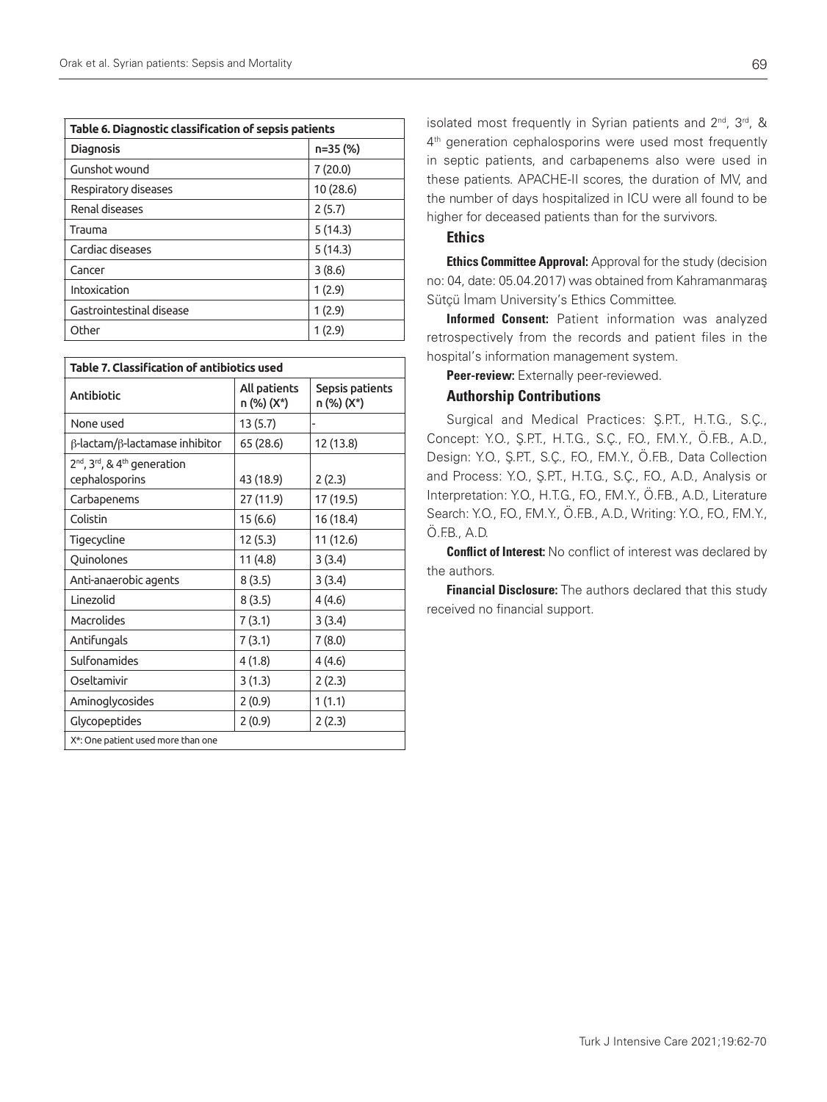| Table 6. Diagnostic classification of sepsis patients |          |  |  |  |
|-------------------------------------------------------|----------|--|--|--|
| n=35 (%)<br><b>Diagnosis</b>                          |          |  |  |  |
| Gunshot wound                                         | 7(20.0)  |  |  |  |
| Respiratory diseases                                  | 10(28.6) |  |  |  |
| Renal diseases                                        | 2(5.7)   |  |  |  |
| Trauma                                                | 5(14.3)  |  |  |  |
| Cardiac diseases                                      | 5(14.3)  |  |  |  |
| Cancer                                                | 3(8.6)   |  |  |  |
| Intoxication                                          | 1(2.9)   |  |  |  |
| Gastrointestinal disease                              | 1(2.9)   |  |  |  |
| Other                                                 | 1(2.9)   |  |  |  |

| Table 7. Classification of antibiotics used                                        |                            |                               |  |  |  |
|------------------------------------------------------------------------------------|----------------------------|-------------------------------|--|--|--|
| <b>Antibiotic</b>                                                                  | All patients<br>n (%) (X*) | Sepsis patients<br>n (%) (X*) |  |  |  |
| None used                                                                          | 13 (5.7)                   |                               |  |  |  |
| $\beta$ -lactam/ $\beta$ -lactamase inhibitor                                      | 65 (28.6)                  | 12 (13.8)                     |  |  |  |
| 2 <sup>nd</sup> , 3 <sup>rd</sup> , & 4 <sup>th</sup> generation<br>cephalosporins | 43 (18.9)                  | 2(2.3)                        |  |  |  |
| Carbapenems                                                                        | 27 (11.9)                  | 17 (19.5)                     |  |  |  |
| Colistin                                                                           | 15 (6.6)                   | 16 (18.4)                     |  |  |  |
| Tigecycline                                                                        | 12 (5.3)                   | 11 (12.6)                     |  |  |  |
| Quinolones                                                                         | 11 (4.8)                   | 3(3.4)                        |  |  |  |
| Anti-anaerobic agents                                                              | 8(3.5)                     | 3(3.4)                        |  |  |  |
| Linezolid                                                                          | 8(3.5)                     | 4(4.6)                        |  |  |  |
| Macrolides                                                                         | 7(3.1)                     | 3(3.4)                        |  |  |  |
| Antifungals                                                                        | 7(3.1)                     | 7(8.0)                        |  |  |  |
| Sulfonamides                                                                       | 4(1.8)                     | 4(4.6)                        |  |  |  |
| Oseltamivir                                                                        | 3(1.3)                     | 2(2.3)                        |  |  |  |
| Aminoglycosides                                                                    | 2(0.9)                     | 1(1.1)                        |  |  |  |
| Glycopeptides                                                                      | 2(0.9)                     | 2(2.3)                        |  |  |  |
| X*: One patient used more than one                                                 |                            |                               |  |  |  |

isolated most frequently in Syrian patients and 2<sup>nd</sup>, 3<sup>rd</sup>, & 4<sup>th</sup> generation cephalosporins were used most frequently in septic patients, and carbapenems also were used in these patients. APACHE-II scores, the duration of MV, and the number of days hospitalized in ICU were all found to be higher for deceased patients than for the survivors.

#### Ethics

**Ethics Committee Approval:** Approval for the study (decision no: 04, date: 05.04.2017) was obtained from Kahramanmaraş Sütçü İmam University's Ethics Committee.

Informed Consent: Patient information was analyzed retrospectively from the records and patient files in the hospital's information management system.

Peer-review: Externally peer-reviewed.

#### Authorship Contributions

Surgical and Medical Practices: Ş.P.T., H.T.G., S.Ç., Concept: Y.O., Ş.P.T., H.T.G., S.Ç., F.O., F.M.Y., Ö.F.B., A.D., Design: Y.O., Ş.P.T., S.Ç., F.O., F.M.Y., Ö.F.B., Data Collection and Process: Y.O., Ş.P.T., H.T.G., S.Ç., F.O., A.D., Analysis or Interpretation: Y.O., H.T.G., F.O., F.M.Y., Ö.F.B., A.D., Literature Search: Y.O., F.O., F.M.Y., Ö.F.B., A.D., Writing: Y.O., F.O., F.M.Y., Ö.F.B., A.D.

**Conflict of Interest:** No conflict of interest was declared by the authors.

**Financial Disclosure:** The authors declared that this study received no financial support.